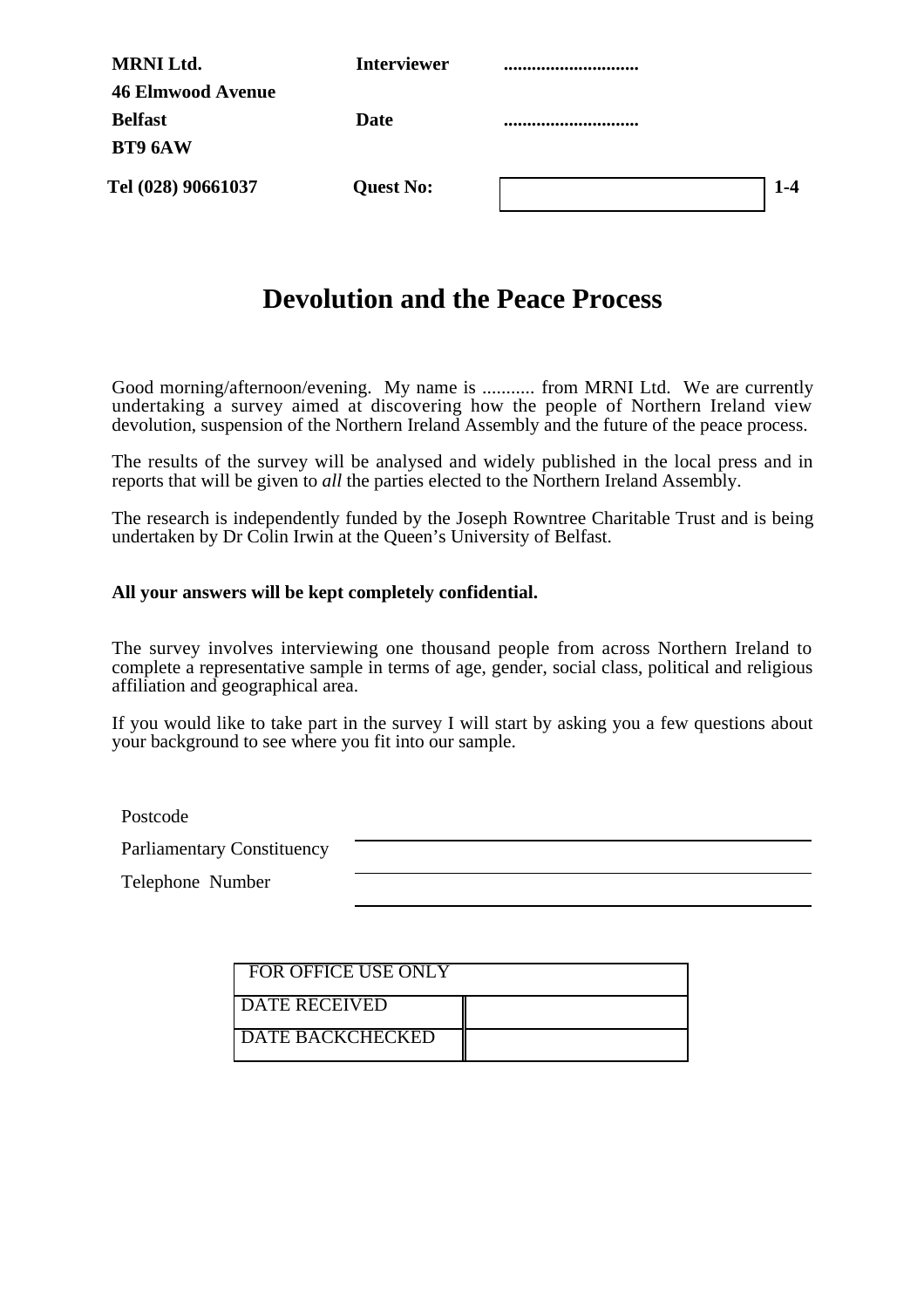| <b>MRNI Ltd.</b>         | <b>Interviewer</b> |         |
|--------------------------|--------------------|---------|
| <b>46 Elmwood Avenue</b> |                    |         |
| <b>Belfast</b>           | Date               |         |
| BT9 6AW                  |                    |         |
| Tel (028) 90661037       | <b>Quest No:</b>   | $1 - 4$ |

# **Devolution and the Peace Process**

Good morning/afternoon/evening. My name is ........... from MRNI Ltd. We are currently undertaking a survey aimed at discovering how the people of Northern Ireland view devolution, suspension of the Northern Ireland Assembly and the future of the peace process.

The results of the survey will be analysed and widely published in the local press and in reports that will be given to *all* the parties elected to the Northern Ireland Assembly.

The research is independently funded by the Joseph Rowntree Charitable Trust and is being undertaken by Dr Colin Irwin at the Queen's University of Belfast.

#### **All your answers will be kept completely confidential.**

The survey involves interviewing one thousand people from across Northern Ireland to complete a representative sample in terms of age, gender, social class, political and religious affiliation and geographical area.

If you would like to take part in the survey I will start by asking you a few questions about your background to see where you fit into our sample.

Postcode

Parliamentary Constituency

Telephone Number

| FOR OFFICE USE ONLY     |  |
|-------------------------|--|
| <b>I DATE RECEIVED</b>  |  |
| <b>DATE BACKCHECKED</b> |  |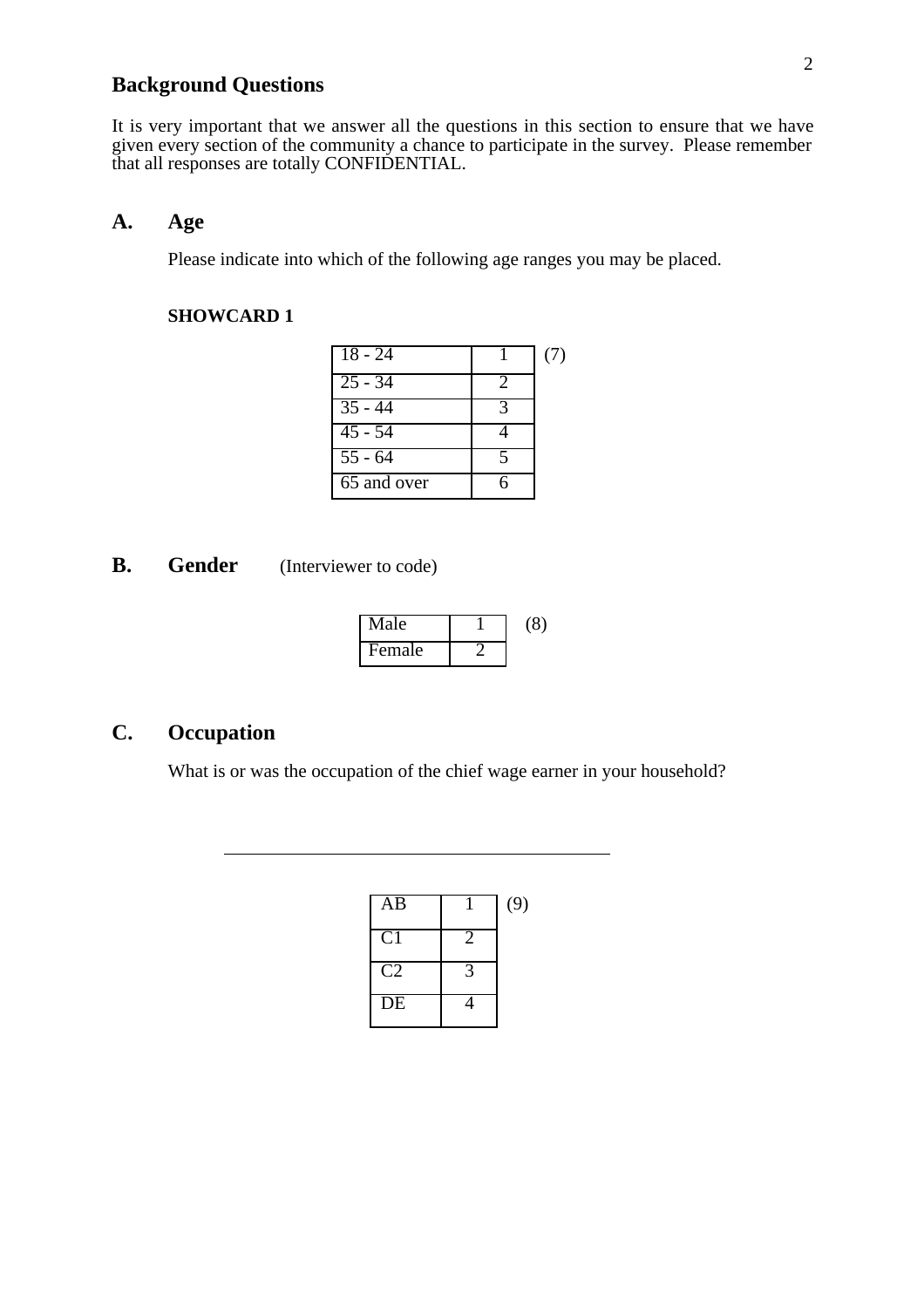## **Background Questions**

It is very important that we answer all the questions in this section to ensure that we have given every section of the community a chance to participate in the survey. Please remember that all responses are totally CONFIDENTIAL.

### **A. Age**

Please indicate into which of the following age ranges you may be placed.

#### **SHOWCARD 1**

| $18 - 24$                |                          | (7) |
|--------------------------|--------------------------|-----|
| $\overline{25} - 34$     | 2                        |     |
| $35 - 44$                | $\mathbf 3$              |     |
| $45 - 54$                |                          |     |
| $55 - 64$                | $\overline{\phantom{a}}$ |     |
| $\overline{65}$ and over |                          |     |

**B.** Gender (Interviewer to code)

| Male   | (8) |
|--------|-----|
| Female |     |

## **C. Occupation**

 $\overline{a}$ 

What is or was the occupation of the chief wage earner in your household?

| $\overline{AB}$ |                            | (9) |
|-----------------|----------------------------|-----|
| C <sub>1</sub>  | $\overline{2}$             |     |
| C2              | $\boldsymbol{\mathcal{L}}$ |     |
| $\overline{DE}$ |                            |     |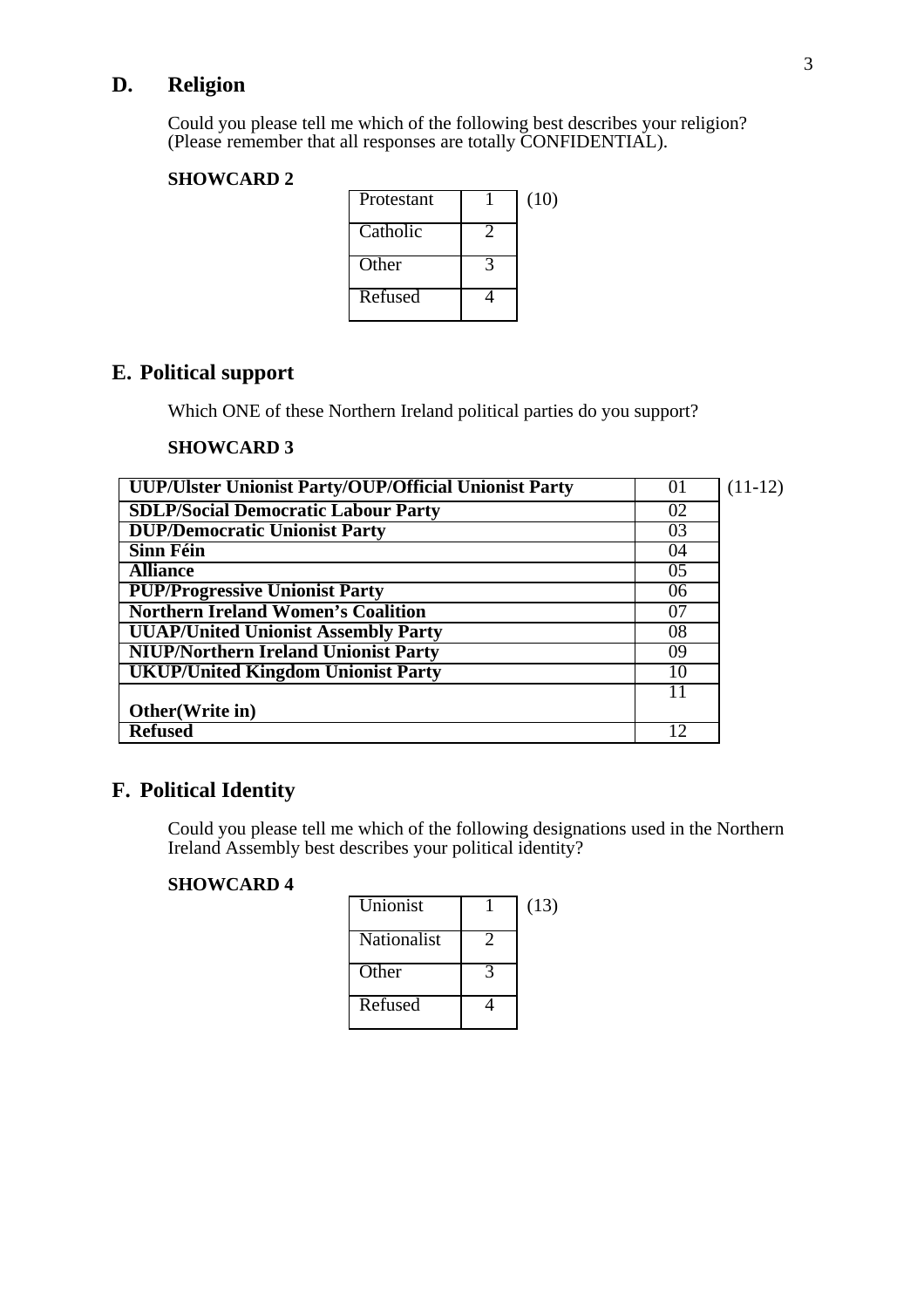## **D. Religion**

Could you please tell me which of the following best describes your religion? (Please remember that all responses are totally CONFIDENTIAL).

#### **SHOWCARD 2**

| Protestant | (10) |
|------------|------|
| Catholic   |      |
| Other      |      |
| Refused    |      |

## **E. Political support**

Which ONE of these Northern Ireland political parties do you support?

#### **SHOWCARD 3**

| UUP/Ulster Unionist Party/OUP/Official Unionist Party | 01 | $(11-12)$ |
|-------------------------------------------------------|----|-----------|
| <b>SDLP/Social Democratic Labour Party</b>            | 02 |           |
| <b>DUP/Democratic Unionist Party</b>                  | 03 |           |
| <b>Sinn Féin</b>                                      | 04 |           |
| <b>Alliance</b>                                       | 05 |           |
| <b>PUP/Progressive Unionist Party</b>                 | 06 |           |
| <b>Northern Ireland Women's Coalition</b>             | 07 |           |
| <b>UUAP/United Unionist Assembly Party</b>            | 08 |           |
| <b>NIUP/Northern Ireland Unionist Party</b>           | 09 |           |
| <b>UKUP/United Kingdom Unionist Party</b>             | 10 |           |
|                                                       |    |           |
| Other(Write in)                                       |    |           |
| <b>Refused</b>                                        | 12 |           |

## **F. Political Identity**

Could you please tell me which of the following designations used in the Northern Ireland Assembly best describes your political identity?

| Unionist    | (13) |
|-------------|------|
| Nationalist |      |
| Other       |      |
| Refused     |      |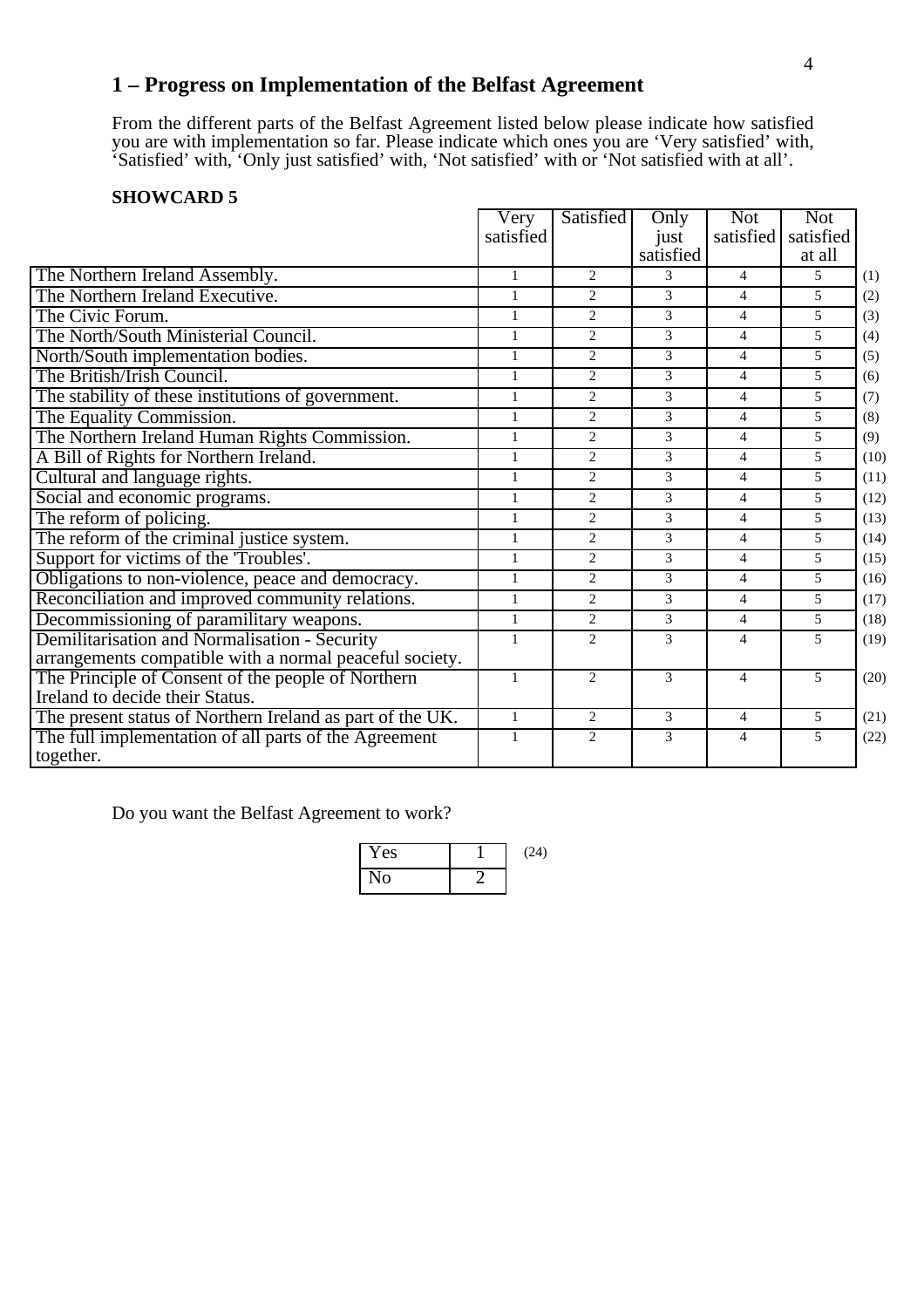## **1 – Progress on Implementation of the Belfast Agreement**

From the different parts of the Belfast Agreement listed below please indicate how satisfied you are with implementation so far. Please indicate which ones you are 'Very satisfied' with, 'Satisfied' with, 'Only just satisfied' with, 'Not satisfied' with or 'Not satisfied with at all'.

#### **SHOWCARD 5**

|                                                           | Very         | Satisfied                   | Only          | <b>Not</b>     | <b>Not</b> |      |
|-----------------------------------------------------------|--------------|-----------------------------|---------------|----------------|------------|------|
|                                                           | satisfied    |                             | just          | satisfied      | satisfied  |      |
|                                                           |              |                             | satisfied     |                | at all     |      |
| The Northern Ireland Assembly.                            | $\mathbf{1}$ | $\overline{2}$              | $\mathcal{E}$ | $\overline{4}$ | 5          | (1)  |
| The Northern Ireland Executive.                           | $\mathbf{1}$ | $\overline{2}$              | 3             | 4              | 5          | (2)  |
| The Civic Forum.                                          | $\mathbf{1}$ | $\overline{c}$              | 3             | $\overline{4}$ | 5          | (3)  |
| The North/South Ministerial Council.                      | $\mathbf{1}$ | $\mathcal{D}_{\mathcal{L}}$ | 3             | $\overline{4}$ | 5          | (4)  |
| North/South implementation bodies.                        | $\mathbf{1}$ | $\overline{2}$              | 3             | 4              | 5          | (5)  |
| The British/Irish Council.                                | $\mathbf{1}$ | $\overline{2}$              | 3             | $\overline{4}$ | 5          | (6)  |
| The stability of these institutions of government.        | $\mathbf{1}$ | 2                           | 3             | $\overline{4}$ | 5          | (7)  |
| The Equality Commission.                                  | $\mathbf{1}$ | $\overline{2}$              | 3             | 4              | 5          | (8)  |
| The Northern Ireland Human Rights Commission.             | $\mathbf{1}$ | $\overline{2}$              | 3             | 4              | 5          | (9)  |
| A Bill of Rights for Northern Ireland.                    | $\mathbf{1}$ | $\overline{2}$              | 3             | $\overline{4}$ | 5          | (10) |
| Cultural and language rights.                             | $\mathbf{1}$ | $\overline{2}$              | 3             | $\overline{4}$ | 5          | (11) |
| Social and economic programs.                             | $\mathbf{1}$ | $\overline{2}$              | 3             | $\overline{4}$ | 5          | (12) |
| The reform of policing.                                   | $\mathbf{1}$ | $\overline{2}$              | 3             | $\overline{4}$ | 5          | (13) |
| The reform of the criminal justice system.                | $\mathbf{1}$ | $\overline{2}$              | 3             | 4              | 5          | (14) |
| Support for victims of the 'Troubles'.                    | $\mathbf{1}$ | $\overline{2}$              | 3             | $\overline{4}$ | 5          | (15) |
| Obligations to non-violence, peace and democracy.         | $\mathbf{1}$ | 2                           | 3             | 4              | 5          | (16) |
| Reconciliation and improved community relations.          | $\mathbf{1}$ | $\overline{2}$              | 3             | $\overline{4}$ | 5.         | (17) |
| Decommissioning of paramilitary weapons.                  | $\mathbf 1$  | $\overline{2}$              | 3             | $\overline{4}$ | 5          | (18) |
| Demilitarisation and Normalisation - Security             | $\mathbf{1}$ | $\overline{2}$              | 3             | $\overline{4}$ | 5          | (19) |
| arrangements compatible with a normal peaceful society.   |              |                             |               |                |            |      |
| The Principle of Consent of the people of Northern        | $\mathbf{1}$ | $\overline{2}$              | 3             | 4              | 5          | (20) |
| Ireland to decide their Status.                           |              |                             |               |                |            |      |
| The present status of Northern Ireland as part of the UK. | $\mathbf{1}$ | $\overline{2}$              | 3             | 4              | 5          | (21) |
| The full implementation of all parts of the Agreement     | $\mathbf{1}$ | 2                           | 3             | 4              | 5          | (22) |
| together.                                                 |              |                             |               |                |            |      |

Do you want the Belfast Agreement to work?

Yes 1 (24) No 2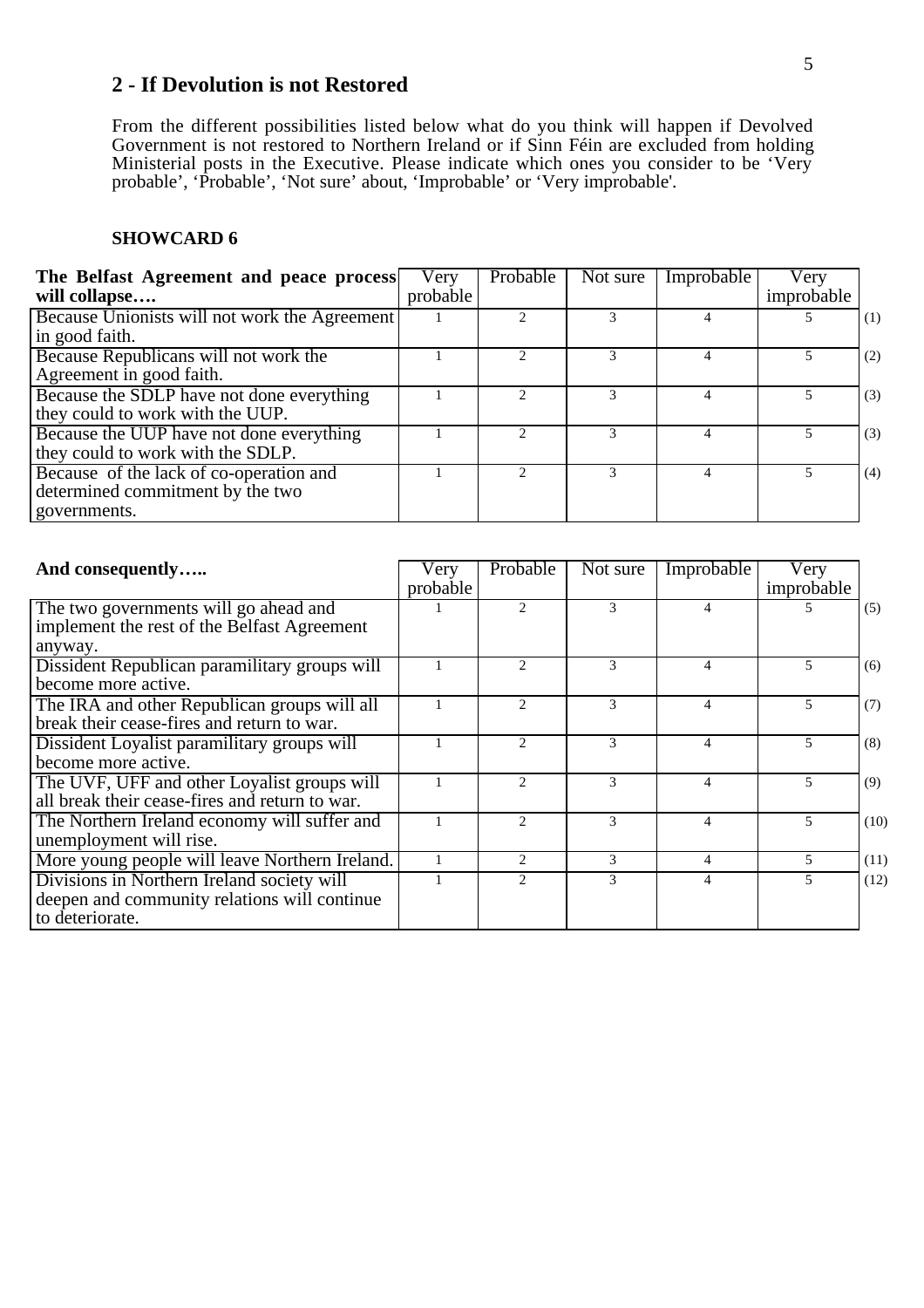### **2 - If Devolution is not Restored**

From the different possibilities listed below what do you think will happen if Devolved Government is not restored to Northern Ireland or if Sinn Féin are excluded from holding Ministerial posts in the Executive. Please indicate which ones you consider to be 'Very probable', 'Probable', 'Not sure' about, 'Improbable' or 'Very improbable'.

| The Belfast Agreement and peace process<br>will collapse                                    | Very<br>probable | Probable | Not sure | Improbable | Very<br>improbable |     |
|---------------------------------------------------------------------------------------------|------------------|----------|----------|------------|--------------------|-----|
| Because Unionists will not work the Agreement<br>in good faith.                             |                  |          |          |            |                    | (1) |
| Because Republicans will not work the<br>Agreement in good faith.                           |                  |          |          |            |                    | (2) |
| Because the SDLP have not done everything<br>they could to work with the UUP.               |                  |          |          |            |                    | (3) |
| Because the UUP have not done everything<br>they could to work with the SDLP.               |                  |          |          |            |                    | (3) |
| Because of the lack of co-operation and<br>determined commitment by the two<br>governments. |                  |          |          |            |                    | (4) |

| And consequently                                                                                              | Very<br>probable | Probable                    | Not sure      | Improbable | Very<br>improbable |      |
|---------------------------------------------------------------------------------------------------------------|------------------|-----------------------------|---------------|------------|--------------------|------|
| The two governments will go ahead and<br>implement the rest of the Belfast Agreement<br>anyway.               |                  | $\mathcal{D}_{\mathcal{L}}$ | 3             |            |                    | (5)  |
| Dissident Republican paramilitary groups will<br>become more active.                                          |                  |                             | 3             |            | 5                  | (6)  |
| The IRA and other Republican groups will all<br>break their cease-fires and return to war.                    |                  | $\mathcal{D}_{\mathcal{L}}$ | 3             | 4          | 5                  | (7)  |
| Dissident Loyalist paramilitary groups will<br>become more active.                                            |                  | $\mathcal{D}_{\mathcal{A}}$ | $\mathcal{F}$ | 4          | 5.                 | (8)  |
| The UVF, UFF and other Loyalist groups will<br>all break their cease-fires and return to war.                 |                  | $\gamma$                    | 3             | 4          | 5                  | (9)  |
| The Northern Ireland economy will suffer and<br>unemployment will rise.                                       |                  | $\mathcal{D}$               | 3             | 4          | 5                  | (10) |
| More young people will leave Northern Ireland.                                                                |                  | $\mathfrak{D}$              | 3             | 4          | 5                  | (11) |
| Divisions in Northern Ireland society will<br>deepen and community relations will continue<br>to deteriorate. |                  | $\mathfrak{D}$              | 3             | 4          | 5                  | (12) |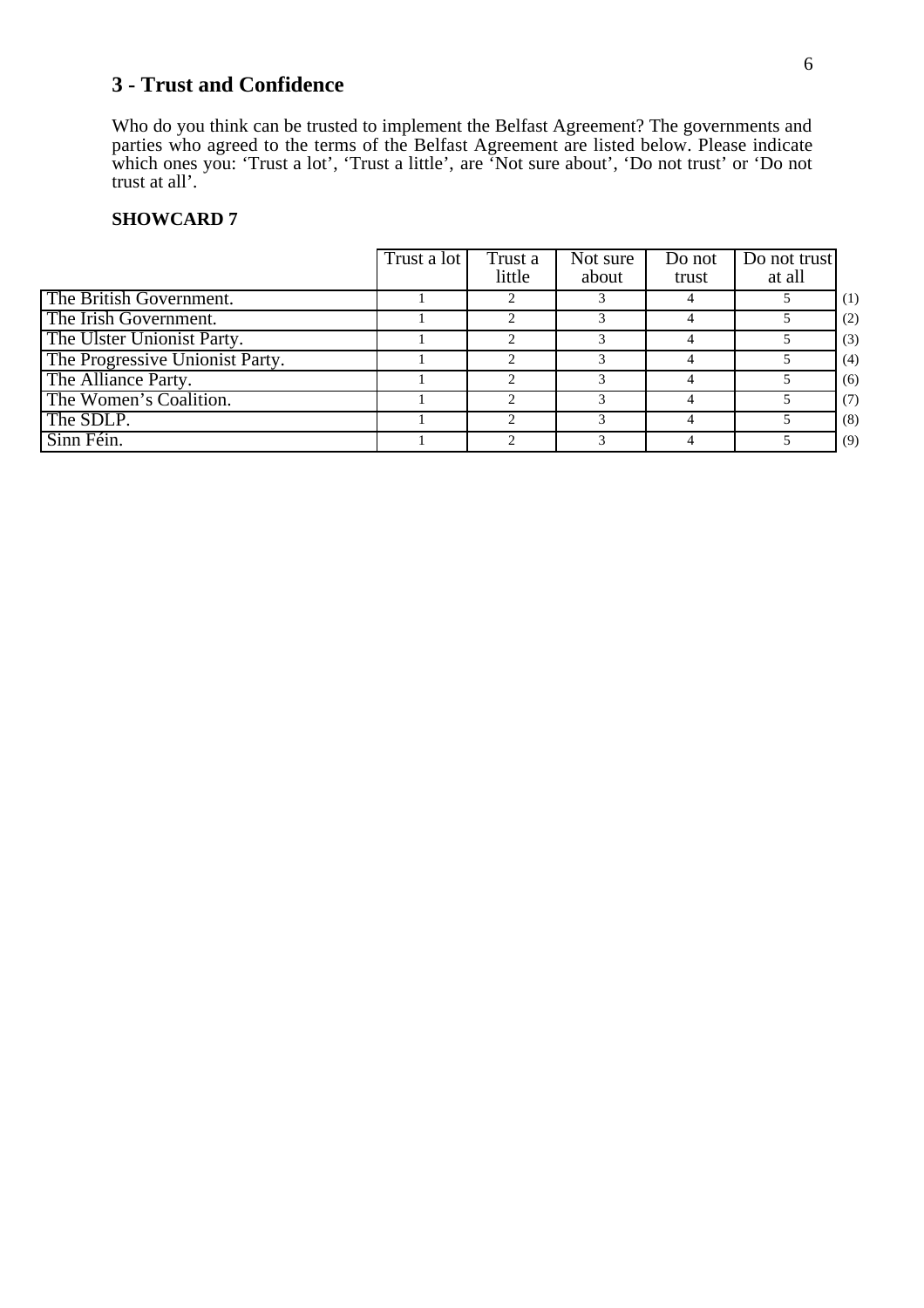## **3 - Trust and Confidence**

Who do you think can be trusted to implement the Belfast Agreement? The governments and parties who agreed to the terms of the Belfast Agreement are listed below. Please indicate which ones you: 'Trust a lot', 'Trust a little', are 'Not sure about', 'Do not trust' or 'Do not trust at all'.

|                                 | Trust a lot | Trust a<br>little | Not sure<br>about | Do not<br>trust | Do not trust<br>at all |     |
|---------------------------------|-------------|-------------------|-------------------|-----------------|------------------------|-----|
| The British Government.         |             |                   |                   |                 |                        | (1) |
| The Irish Government.           |             |                   |                   |                 |                        | (2) |
| The Ulster Unionist Party.      |             |                   |                   |                 |                        | (3) |
| The Progressive Unionist Party. |             |                   |                   |                 |                        | (4) |
| The Alliance Party.             |             |                   |                   |                 |                        | (6) |
| The Women's Coalition.          |             | $\gamma$          |                   |                 |                        | (7) |
| The SDLP.                       |             |                   |                   |                 |                        | (8) |
| Sinn Féin.                      |             |                   |                   |                 |                        | (9) |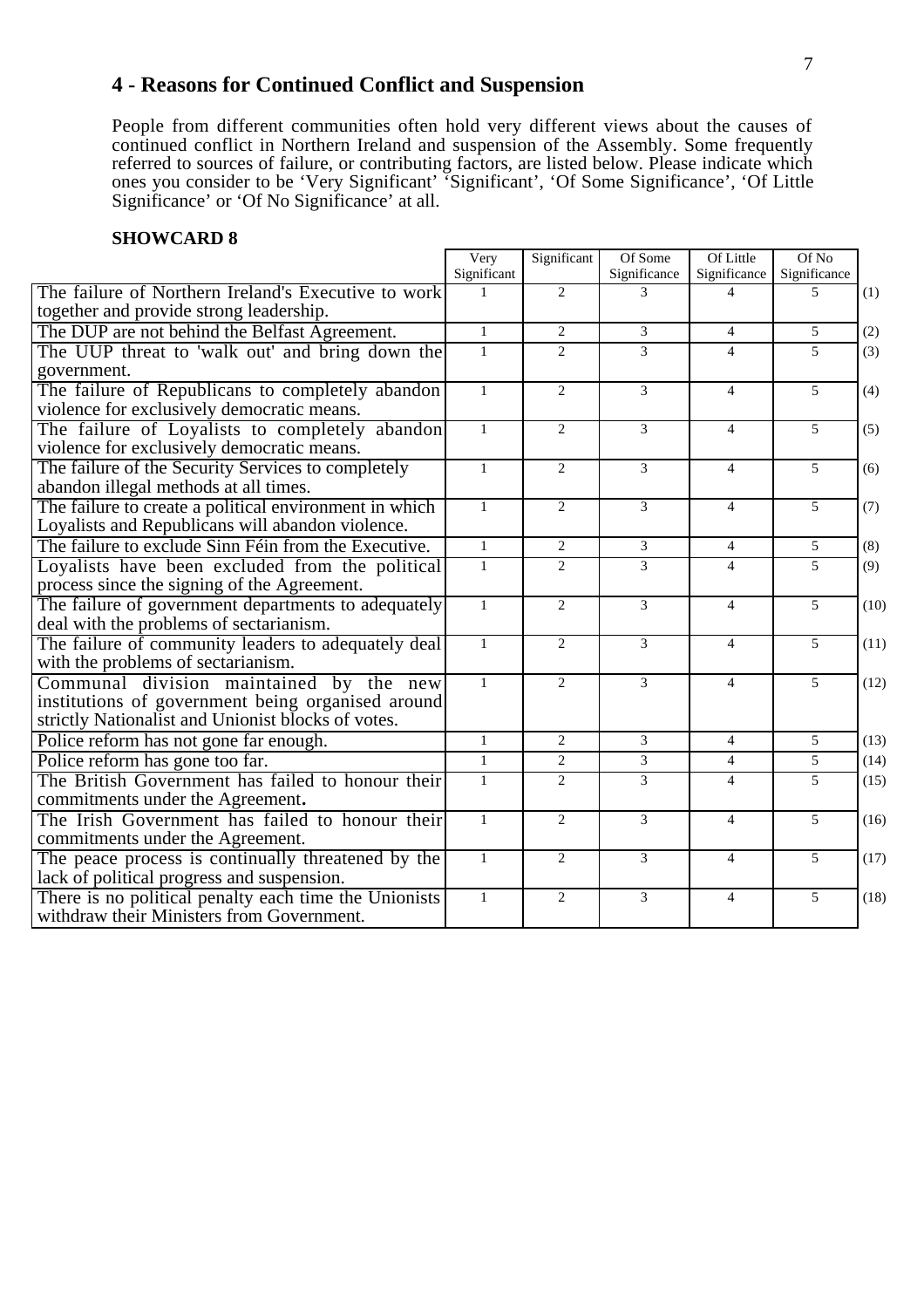## **4 - Reasons for Continued Conflict and Suspension**

People from different communities often hold very different views about the causes of continued conflict in Northern Ireland and suspension of the Assembly. Some frequently referred to sources of failure, or contributing factors, are listed below. Please indicate which ones you consider to be 'Very Significant' 'Significant', 'Of Some Significance', 'Of Little Significance' or 'Of No Significance' at all.

|                                                                                                                                                    | Very         | Significant                 | Of Some        | Of Little                | Of No                    |      |
|----------------------------------------------------------------------------------------------------------------------------------------------------|--------------|-----------------------------|----------------|--------------------------|--------------------------|------|
|                                                                                                                                                    | Significant  |                             | Significance   | Significance             | Significance             |      |
| The failure of Northern Ireland's Executive to work<br>together and provide strong leadership.                                                     |              | 2                           | $\mathcal{E}$  | $\overline{\mathcal{A}}$ | $\overline{\phantom{0}}$ | (1)  |
| The DUP are not behind the Belfast Agreement.                                                                                                      | $\mathbf{1}$ | 2                           | $\mathcal{F}$  | $\overline{4}$           | 5                        | (2)  |
| The UUP threat to 'walk out' and bring down the<br>government.                                                                                     | $\mathbf{1}$ | 2                           | 3              | $\overline{4}$           | 5                        | (3)  |
| The failure of Republicans to completely abandon<br>violence for exclusively democratic means.                                                     | $\mathbf{1}$ | $\overline{2}$              | $\overline{3}$ | $\overline{4}$           | $\overline{5}$           | (4)  |
| The failure of Loyalists to completely abandon<br>violence for exclusively democratic means.                                                       | $\mathbf{1}$ | 2                           | $\mathcal{E}$  | $\overline{4}$           | $\overline{5}$           | (5)  |
| The failure of the Security Services to completely<br>abandon illegal methods at all times.                                                        | $\mathbf{1}$ | $\overline{2}$              | 3              | $\overline{4}$           | 5                        | (6)  |
| The failure to create a political environment in which<br>Loyalists and Republicans will abandon violence.                                         | $\mathbf{1}$ | 2                           | 3              | $\overline{4}$           | 5                        | (7)  |
| The failure to exclude Sinn Féin from the Executive.                                                                                               | $\mathbf{1}$ | $\mathbf{2}$                | 3              | $\overline{4}$           | 5                        | (8)  |
| Loyalists have been excluded from the political<br>process since the signing of the Agreement.                                                     | $\mathbf{1}$ | $\overline{2}$              | 3              | $\overline{4}$           | 5                        | (9)  |
| The failure of government departments to adequately<br>deal with the problems of sectarianism.                                                     | $\mathbf{1}$ | $\mathcal{D}_{\mathcal{L}}$ | $\mathcal{E}$  | $\overline{4}$           | $\overline{5}$           | (10) |
| The failure of community leaders to adequately deal<br>with the problems of sectarianism.                                                          | $\mathbf{1}$ | $\overline{2}$              | $\mathfrak{Z}$ | $\overline{4}$           | 5                        | (11) |
| Communal division maintained by the new<br>institutions of government being organised around<br>strictly Nationalist and Unionist blocks of votes. | $\mathbf{1}$ | $\overline{2}$              | $\overline{3}$ | $\overline{4}$           | 5                        | (12) |
| Police reform has not gone far enough.                                                                                                             | $\mathbf{1}$ | 2                           | 3              | $\overline{4}$           | 5                        | (13) |
| Police reform has gone too far.                                                                                                                    | $\mathbf{1}$ | 2                           | 3              | $\overline{4}$           | 5                        | (14) |
| The British Government has failed to honour their<br>commitments under the Agreement.                                                              | $\mathbf{1}$ | 2                           | 3              | $\overline{4}$           | 5                        | (15) |
| The Irish Government has failed to honour their<br>commitments under the Agreement.                                                                | $\mathbf{1}$ | $\overline{2}$              | $\mathfrak{Z}$ | $\overline{4}$           | 5                        | (16) |
| The peace process is continually threatened by the<br>lack of political progress and suspension.                                                   | $\mathbf{1}$ | 2                           | 3              | $\overline{4}$           | $\overline{5}$           | (17) |
| There is no political penalty each time the Unionists<br>withdraw their Ministers from Government.                                                 | $\mathbf{1}$ | $\overline{c}$              | $\mathfrak{Z}$ | $\overline{4}$           | 5                        | (18) |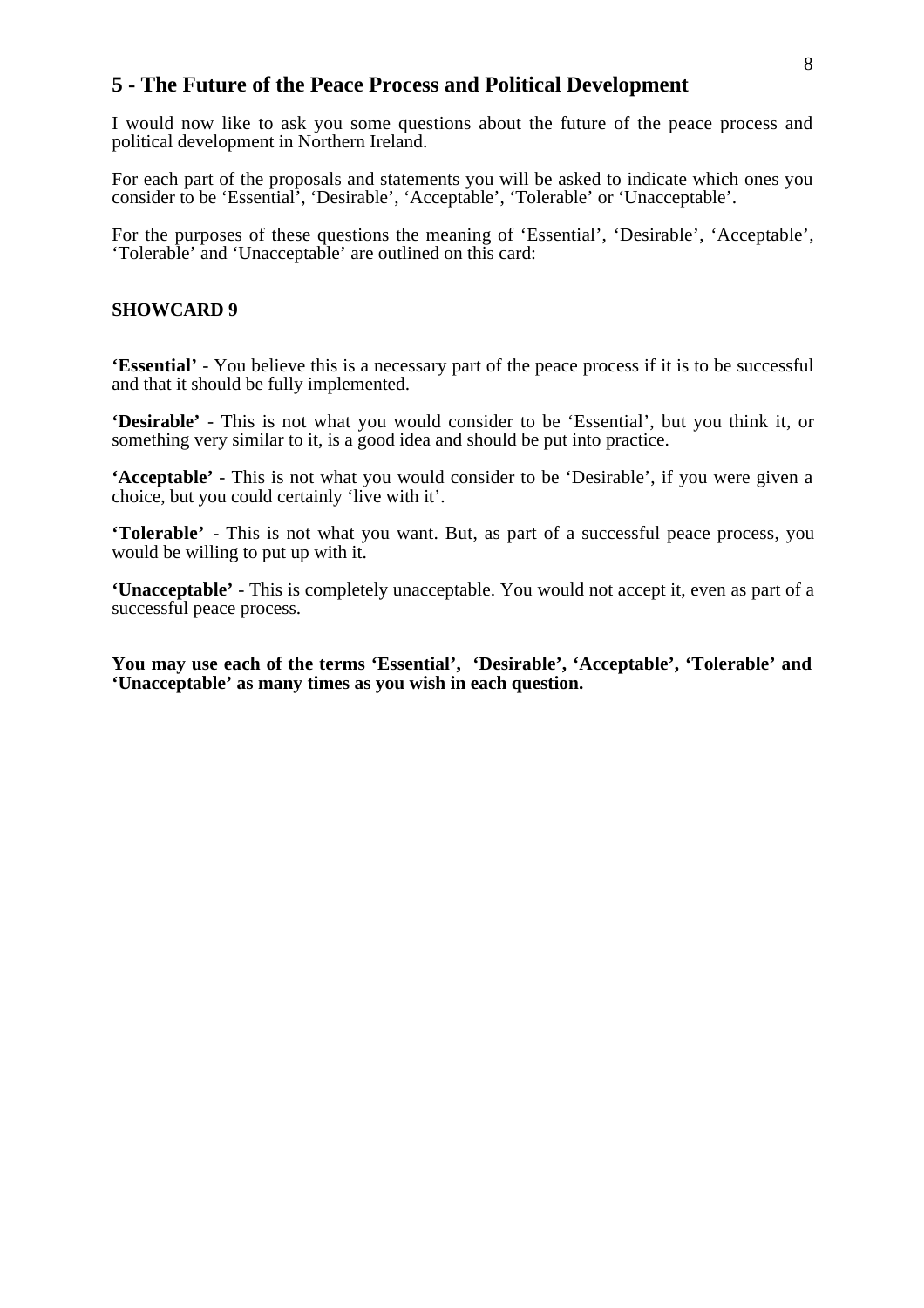### **5 - The Future of the Peace Process and Political Development**

I would now like to ask you some questions about the future of the peace process and political development in Northern Ireland.

For each part of the proposals and statements you will be asked to indicate which ones you consider to be 'Essential', 'Desirable', 'Acceptable', 'Tolerable' or 'Unacceptable'.

For the purposes of these questions the meaning of 'Essential', 'Desirable', 'Acceptable', 'Tolerable' and 'Unacceptable' are outlined on this card:

#### **SHOWCARD 9**

**'Essential'** - You believe this is a necessary part of the peace process if it is to be successful and that it should be fully implemented.

**'Desirable'** - This is not what you would consider to be 'Essential', but you think it, or something very similar to it, is a good idea and should be put into practice.

**'Acceptable'** - This is not what you would consider to be 'Desirable', if you were given a choice, but you could certainly 'live with it'.

**'Tolerable'** - This is not what you want. But, as part of a successful peace process, you would be willing to put up with it.

**'Unacceptable'** - This is completely unacceptable. You would not accept it, even as part of a successful peace process.

**You may use each of the terms 'Essential', 'Desirable', 'Acceptable', 'Tolerable' and 'Unacceptable' as many times as you wish in each question.**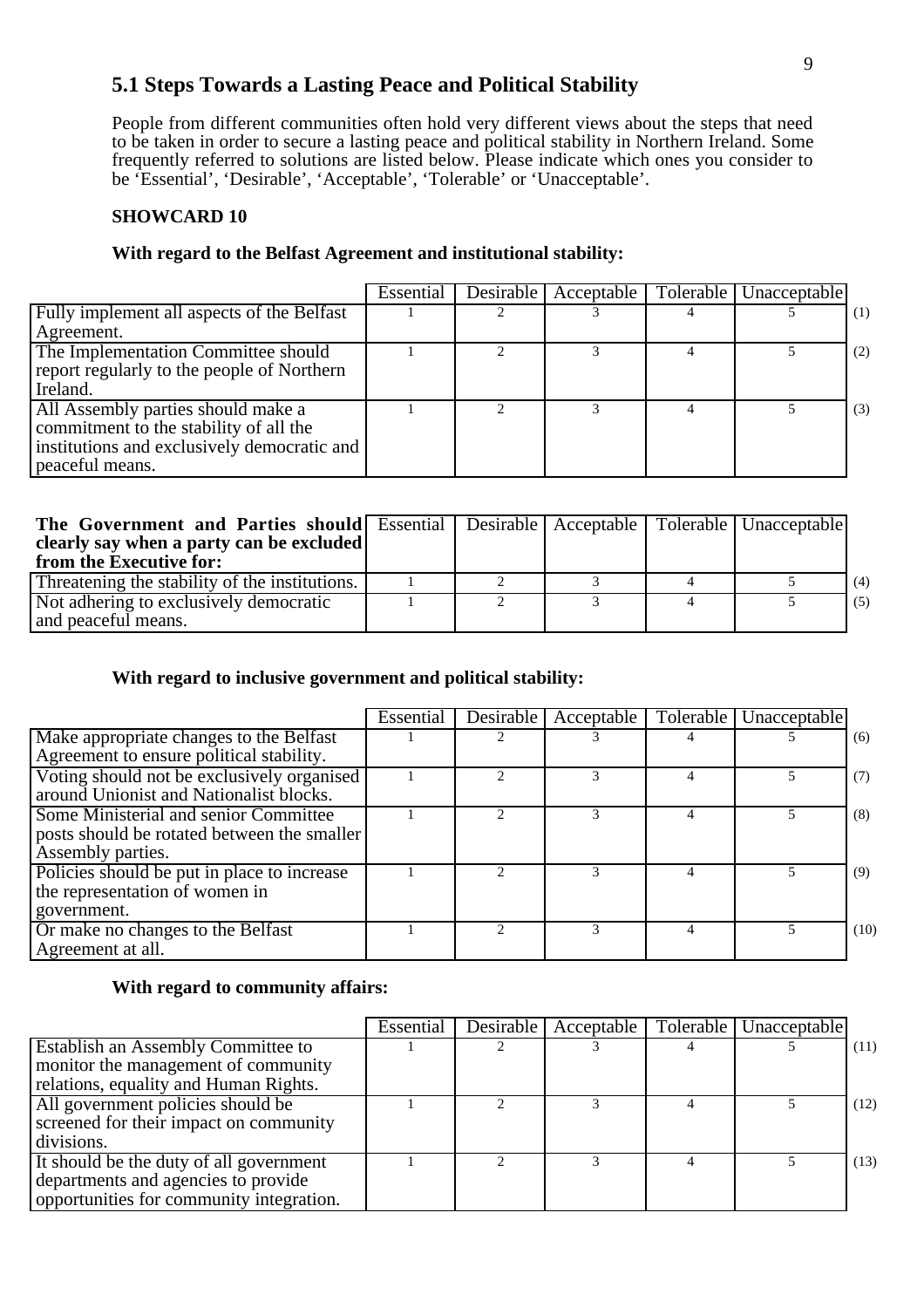## **5.1 Steps Towards a Lasting Peace and Political Stability**

People from different communities often hold very different views about the steps that need to be taken in order to secure a lasting peace and political stability in Northern Ireland. Some frequently referred to solutions are listed below. Please indicate which ones you consider to be 'Essential', 'Desirable', 'Acceptable', 'Tolerable' or 'Unacceptable'.

#### **SHOWCARD 10**

#### **With regard to the Belfast Agreement and institutional stability:**

|                                             | Essential | Desirable Acceptable | Tolerable   Unacceptable |     |
|---------------------------------------------|-----------|----------------------|--------------------------|-----|
| Fully implement all aspects of the Belfast  |           |                      |                          | (1) |
| Agreement.                                  |           |                      |                          |     |
| The Implementation Committee should         |           |                      |                          | (2) |
| report regularly to the people of Northern  |           |                      |                          |     |
| Ireland.                                    |           |                      |                          |     |
| All Assembly parties should make a          |           |                      |                          | (3) |
| commitment to the stability of all the      |           |                      |                          |     |
| institutions and exclusively democratic and |           |                      |                          |     |
| peaceful means.                             |           |                      |                          |     |

| <b>The Government and Parties should</b> Essential Desirable Acceptable   Tolerable   Unacceptable<br>clearly say when a party can be excluded<br>from the Executive for: |  |  |     |
|---------------------------------------------------------------------------------------------------------------------------------------------------------------------------|--|--|-----|
| Threatening the stability of the institutions.                                                                                                                            |  |  | (4) |
| Not adhering to exclusively democratic<br>and peaceful means.                                                                                                             |  |  | (5) |

#### **With regard to inclusive government and political stability:**

|                                             | Essential | Desirable   Acceptable |   | Tolerable   Unacceptable |      |
|---------------------------------------------|-----------|------------------------|---|--------------------------|------|
| Make appropriate changes to the Belfast     |           |                        |   |                          | (6)  |
| Agreement to ensure political stability.    |           |                        |   |                          |      |
| Voting should not be exclusively organised  |           |                        |   |                          | (7)  |
| around Unionist and Nationalist blocks.     |           |                        |   |                          |      |
| Some Ministerial and senior Committee       |           |                        | 4 |                          | (8)  |
| posts should be rotated between the smaller |           |                        |   |                          |      |
| Assembly parties.                           |           |                        |   |                          |      |
| Policies should be put in place to increase |           |                        |   |                          | (9)  |
| the representation of women in              |           |                        |   |                          |      |
| government.                                 |           |                        |   |                          |      |
| Or make no changes to the Belfast           |           |                        | 4 |                          | (10) |
| Agreement at all.                           |           |                        |   |                          |      |

#### **With regard to community affairs:**

|                                           | Essential | Desirable   Acceptable | Tolerable   Unacceptable |      |
|-------------------------------------------|-----------|------------------------|--------------------------|------|
| <b>Establish an Assembly Committee to</b> |           |                        |                          | (11) |
| monitor the management of community       |           |                        |                          |      |
| relations, equality and Human Rights.     |           |                        |                          |      |
| All government policies should be         |           |                        |                          | (12) |
| screened for their impact on community    |           |                        |                          |      |
| divisions.                                |           |                        |                          |      |
| It should be the duty of all government   |           |                        |                          | (13) |
| departments and agencies to provide       |           |                        |                          |      |
| opportunities for community integration.  |           |                        |                          |      |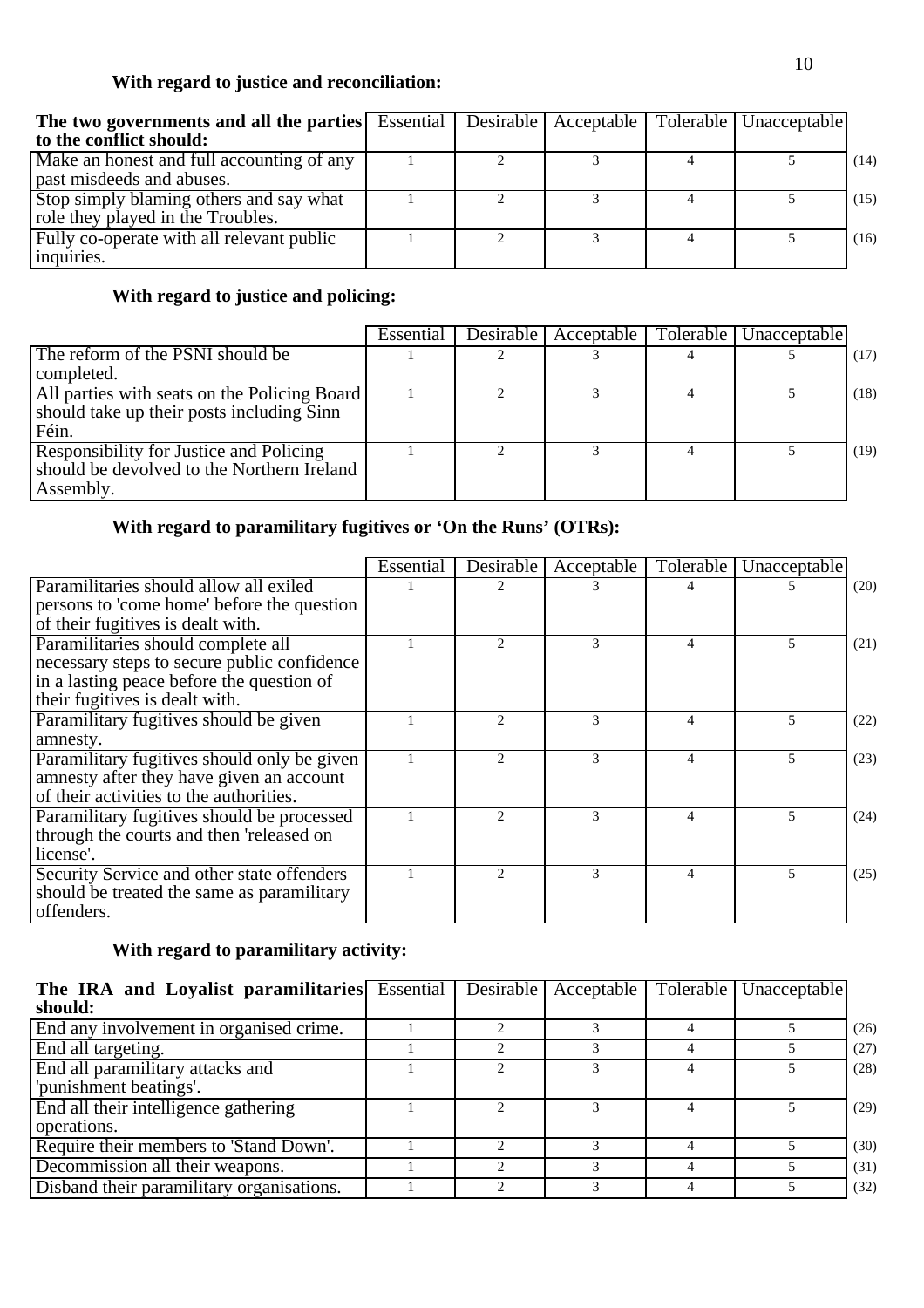## **With regard to justice and reconciliation:**

| The two governments and all the parties Essential   Desirable   Acceptable   Tolerable   Unacceptable<br>to the conflict should: |  |  |      |
|----------------------------------------------------------------------------------------------------------------------------------|--|--|------|
| Make an honest and full accounting of any                                                                                        |  |  | (14) |
| past misdeeds and abuses.                                                                                                        |  |  |      |
| Stop simply blaming others and say what                                                                                          |  |  | (15) |
| role they played in the Troubles.                                                                                                |  |  |      |
| Fully co-operate with all relevant public                                                                                        |  |  | (16) |
| inquiries.                                                                                                                       |  |  |      |

## **With regard to justice and policing:**

|                                                                                                    | Essential | <b>Desirable</b> | Acceptable | Tolerable   Unacceptable |      |
|----------------------------------------------------------------------------------------------------|-----------|------------------|------------|--------------------------|------|
| The reform of the PSNI should be                                                                   |           |                  |            |                          | (17) |
| completed.                                                                                         |           |                  |            |                          |      |
| All parties with seats on the Policing Board<br>should take up their posts including Sinn<br>Féin. |           |                  |            |                          | (18) |
| Responsibility for Justice and Policing<br>should be devolved to the Northern Ireland<br>Assembly. |           |                  |            |                          | (19) |

## **With regard to paramilitary fugitives or 'On the Runs' (OTRs):**

|                                             | Essential | Desirable                   | Acceptable | Tolerable | Unacceptable |      |
|---------------------------------------------|-----------|-----------------------------|------------|-----------|--------------|------|
| Paramilitaries should allow all exiled      |           | $\mathcal{D}$               |            |           |              | (20) |
| persons to 'come home' before the question  |           |                             |            |           |              |      |
| of their fugitives is dealt with.           |           |                             |            |           |              |      |
| Paramilitaries should complete all          |           | $\mathcal{D}_{\mathcal{L}}$ | 3          | 4         | 5            | (21) |
| necessary steps to secure public confidence |           |                             |            |           |              |      |
| in a lasting peace before the question of   |           |                             |            |           |              |      |
| their fugitives is dealt with.              |           |                             |            |           |              |      |
| Paramilitary fugitives should be given      |           | っ                           |            |           |              | (22) |
| amnesty.                                    |           |                             |            |           |              |      |
| Paramilitary fugitives should only be given |           | $\mathcal{D}$               | 3          | Δ         | 5            | (23) |
| amnesty after they have given an account    |           |                             |            |           |              |      |
| of their activities to the authorities.     |           |                             |            |           |              |      |
| Paramilitary fugitives should be processed  |           | $\mathcal{D}$               | 3          | Δ         |              | (24) |
| through the courts and then 'released on    |           |                             |            |           |              |      |
| license'.                                   |           |                             |            |           |              |      |
| Security Service and other state offenders  |           | $\mathcal{D}_{\mathcal{L}}$ | 3          | 4         | 5            | (25) |
| should be treated the same as paramilitary  |           |                             |            |           |              |      |
| offenders.                                  |           |                             |            |           |              |      |

## **With regard to paramilitary activity:**

| The IRA and Loyalist paramilitaries Essential   Desirable   Acceptable |  |  | Tolerable   Unacceptable |      |
|------------------------------------------------------------------------|--|--|--------------------------|------|
| should:                                                                |  |  |                          |      |
| End any involvement in organised crime.                                |  |  |                          | (26) |
| End all targeting.                                                     |  |  |                          | (27) |
| End all paramilitary attacks and                                       |  |  |                          | (28) |
| 'punishment beatings'.                                                 |  |  |                          |      |
| End all their intelligence gathering                                   |  |  |                          | (29) |
| operations.                                                            |  |  |                          |      |
| Require their members to 'Stand Down'.                                 |  |  |                          | (30) |
| Decommission all their weapons.                                        |  |  |                          | (31) |
| Disband their paramilitary organisations.                              |  |  |                          | (32) |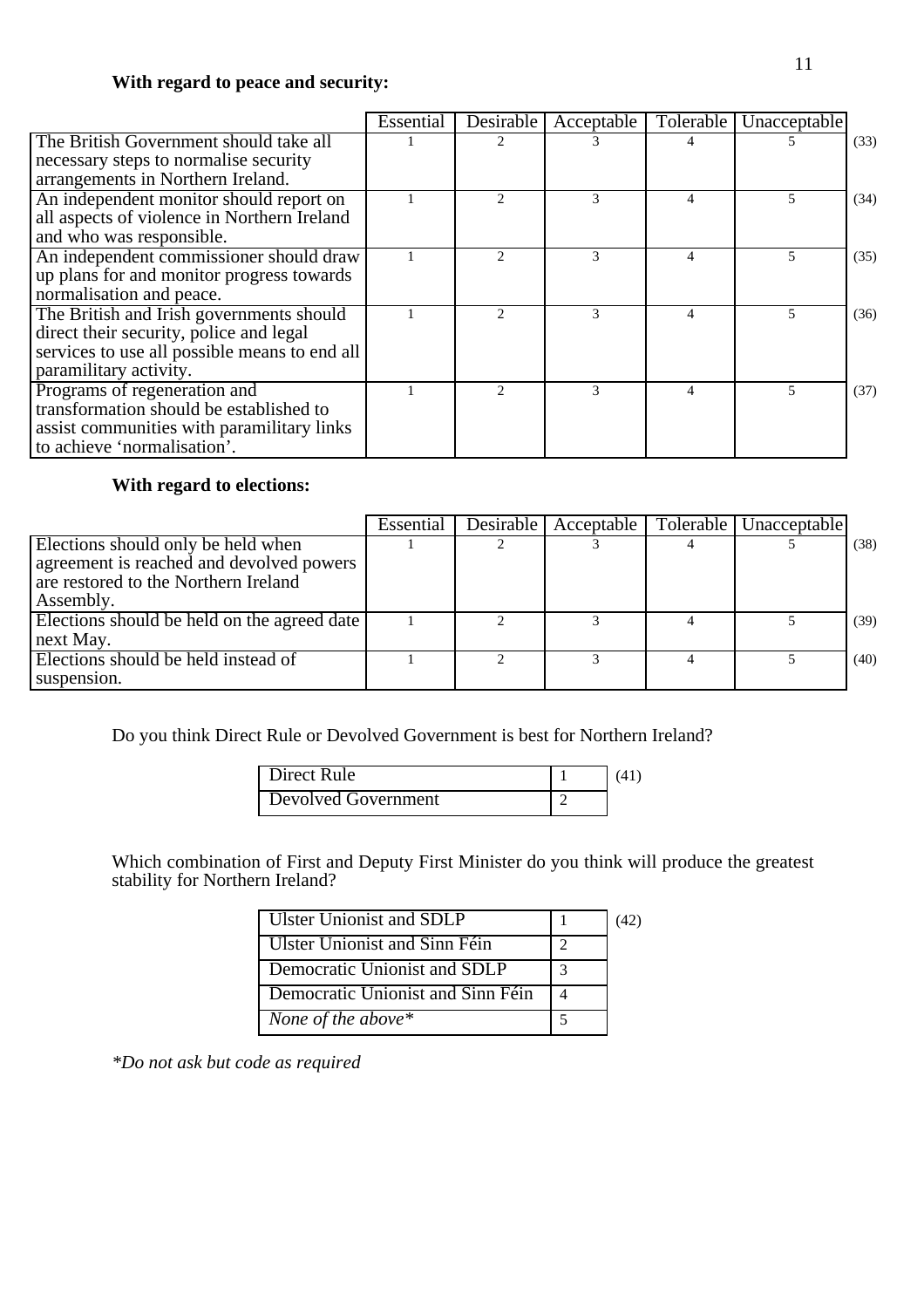### **With regard to peace and security:**

|                                               | Essential | Desirable                   | Acceptable | <b>Tolerable</b> | Unacceptable |      |
|-----------------------------------------------|-----------|-----------------------------|------------|------------------|--------------|------|
| The British Government should take all        |           |                             |            |                  |              | (33) |
| necessary steps to normalise security         |           |                             |            |                  |              |      |
| arrangements in Northern Ireland.             |           |                             |            |                  |              |      |
| An independent monitor should report on       |           | $\mathcal{D}_{\mathcal{A}}$ | 3          | 4                | 5            | (34) |
| all aspects of violence in Northern Ireland   |           |                             |            |                  |              |      |
| and who was responsible.                      |           |                             |            |                  |              |      |
| An independent commissioner should draw       |           |                             | 3          |                  | 5            | (35) |
| up plans for and monitor progress towards     |           |                             |            |                  |              |      |
| normalisation and peace.                      |           |                             |            |                  |              |      |
| The British and Irish governments should      |           |                             | 3          | 4                |              | (36) |
| direct their security, police and legal       |           |                             |            |                  |              |      |
| services to use all possible means to end all |           |                             |            |                  |              |      |
| paramilitary activity.                        |           |                             |            |                  |              |      |
| Programs of regeneration and                  |           | $\mathfrak{D}$              | 3          | 4                | 5            | (37) |
| transformation should be established to       |           |                             |            |                  |              |      |
| assist communities with paramilitary links    |           |                             |            |                  |              |      |
| to achieve 'normalisation'.                   |           |                             |            |                  |              |      |

## **With regard to elections:**

|                                             | Essential | Desirable   Acceptable | Tolerable   Unacceptable |      |
|---------------------------------------------|-----------|------------------------|--------------------------|------|
| Elections should only be held when          |           |                        |                          | (38) |
| agreement is reached and devolved powers    |           |                        |                          |      |
| are restored to the Northern Ireland        |           |                        |                          |      |
| Assembly.                                   |           |                        |                          |      |
| Elections should be held on the agreed date |           |                        |                          | (39) |
| next May.                                   |           |                        |                          |      |
| Elections should be held instead of         |           |                        |                          | (40) |
| suspension.                                 |           |                        |                          |      |

Do you think Direct Rule or Devolved Government is best for Northern Ireland?

| <b>Direct Rule</b>  |  |
|---------------------|--|
| Devolved Government |  |

Which combination of First and Deputy First Minister do you think will produce the greatest stability for Northern Ireland?

| Ulster Unionist and SDLP          |  |
|-----------------------------------|--|
| Ulster Unionist and Sinn Féin     |  |
| Democratic Unionist and SDLP      |  |
| Democratic Unionist and Sinn Féin |  |
| None of the above $*$             |  |

*\*Do not ask but code as required*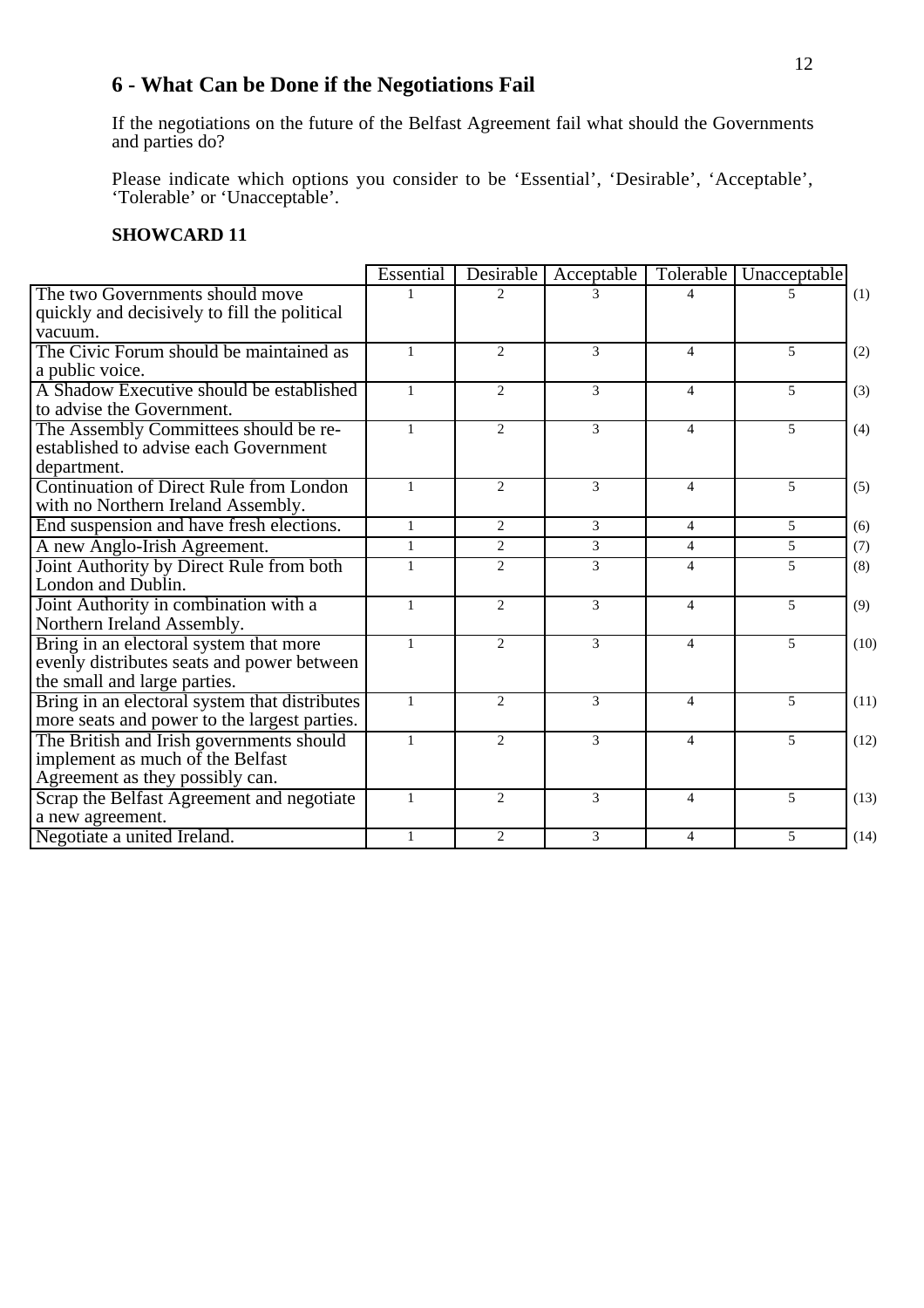# **6 - What Can be Done if the Negotiations Fail**

If the negotiations on the future of the Belfast Agreement fail what should the Governments and parties do?

Please indicate which options you consider to be 'Essential', 'Desirable', 'Acceptable', 'Tolerable' or 'Unacceptable'.

|                                                | Essential    | Desirable      | Acceptable     | Tolerable             | Unacceptable   |      |
|------------------------------------------------|--------------|----------------|----------------|-----------------------|----------------|------|
| The two Governments should move                | 1            | $\mathfrak{D}$ |                | 4                     | 5              | (1)  |
| quickly and decisively to fill the political   |              |                |                |                       |                |      |
| vacuum.                                        |              |                |                |                       |                |      |
| The Civic Forum should be maintained as        | $\mathbf{1}$ | 2              | 3              | $\overline{4}$        | 5              | (2)  |
| a public voice.                                |              |                |                |                       |                |      |
| A Shadow Executive should be established       | $\mathbf{1}$ | $\overline{2}$ | 3              | $\overline{4}$        | 5              | (3)  |
| to advise the Government.                      |              |                |                |                       |                |      |
| The Assembly Committees should be re-          | $\mathbf{1}$ | $\overline{2}$ | 3              | $\overline{4}$        | $\mathfrak{F}$ | (4)  |
| established to advise each Government          |              |                |                |                       |                |      |
| department.                                    |              |                |                |                       |                |      |
| <b>Continuation of Direct Rule from London</b> | $\mathbf{1}$ | $\mathfrak{D}$ | $\mathcal{E}$  | $\overline{4}$        | 5              | (5)  |
| with no Northern Ireland Assembly.             |              |                |                |                       |                |      |
| End suspension and have fresh elections.       | $\mathbf{1}$ | 2              | $\overline{3}$ | $\overline{4}$        | $\mathfrak{F}$ | (6)  |
| A new Anglo-Irish Agreement.                   | $\mathbf{1}$ | $\overline{2}$ | 3              | $\overline{4}$        | 5              | (7)  |
| Joint Authority by Direct Rule from both       | $\mathbf{1}$ | $\mathfrak{D}$ | 3              | $\overline{4}$        | 5              | (8)  |
| London and Dublin.                             |              |                |                |                       |                |      |
| Joint Authority in combination with a          | $\mathbf{1}$ | $\mathcal{L}$  | 3              | $\overline{4}$        | 5              | (9)  |
| Northern Ireland Assembly.                     |              |                |                |                       |                |      |
| Bring in an electoral system that more         | $\mathbf{1}$ | $\mathfrak{D}$ | 3              | $\overline{4}$        | $\overline{5}$ | (10) |
| evenly distributes seats and power between     |              |                |                |                       |                |      |
| the small and large parties.                   |              |                |                |                       |                |      |
| Bring in an electoral system that distributes  | $\mathbf{1}$ | 2              | 3              | $\overline{4}$        | 5              | (11) |
| more seats and power to the largest parties.   |              |                |                |                       |                |      |
| The British and Irish governments should       | $\mathbf{1}$ | 2              | 3              | $\overline{4}$        | 5              | (12) |
| implement as much of the Belfast               |              |                |                |                       |                |      |
| Agreement as they possibly can.                |              |                |                |                       |                |      |
| Scrap the Belfast Agreement and negotiate      | $\mathbf{1}$ | 2              | 3              | $\overline{4}$        | 5              | (13) |
| a new agreement.                               |              |                |                |                       |                |      |
| Negotiate a united Ireland.                    | $\mathbf{1}$ | $\overline{2}$ | 3              | $\boldsymbol{\Delta}$ | $\mathfrak{F}$ | (14) |